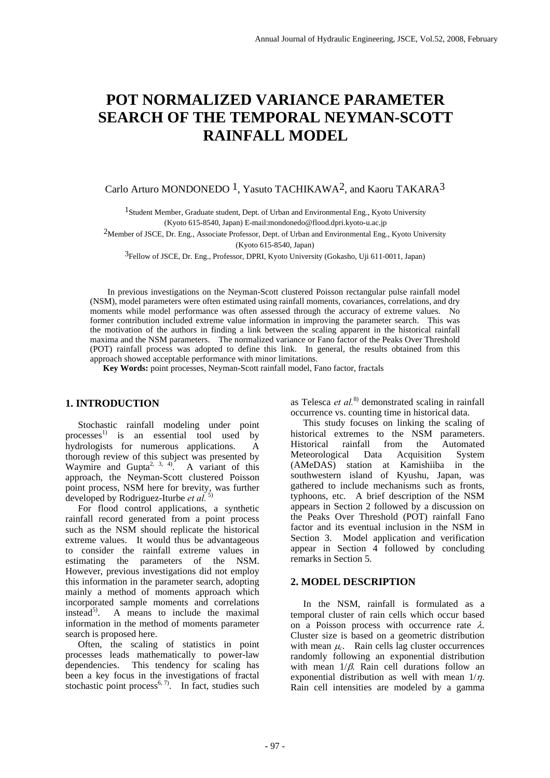# **POT NORMALIZED VARIANCE PARAMETER SEARCH OF THE TEMPORAL NEYMAN-SCOTT RAINFALL MODEL**

# Carlo Arturo MONDONEDO <sup>1</sup>, Yasuto TACHIKAWA<sup>2</sup>, and Kaoru TAKARA<sup>3</sup>

<sup>1</sup> Student Member, Graduate student, Dept. of Urban and Environmental Eng., Kyoto University (Kyoto 615-8540, Japan) E-mail:mondonedo@flood.dpri.kyoto-u.ac.jp

2Member of JSCE, Dr. Eng., Associate Professor, Dept. of Urban and Environmental Eng., Kyoto University (Kyoto 615-8540, Japan)

3Fellow of JSCE, Dr. Eng., Professor, DPRI, Kyoto University (Gokasho, Uji 611-0011, Japan)

 In previous investigations on the Neyman-Scott clustered Poisson rectangular pulse rainfall model (NSM), model parameters were often estimated using rainfall moments, covariances, correlations, and dry moments while model performance was often assessed through the accuracy of extreme values. No former contribution included extreme value information in improving the parameter search. This was the motivation of the authors in finding a link between the scaling apparent in the historical rainfall maxima and the NSM parameters. The normalized variance or Fano factor of the Peaks Over Threshold (POT) rainfall process was adopted to define this link. In general, the results obtained from this approach showed acceptable performance with minor limitations.

 **Key Words:** point processes, Neyman-Scott rainfall model, Fano factor, fractals

# **1. INTRODUCTION**

Stochastic rainfall modeling under point processes<sup>1)</sup> is an essential tool used by hydrologists for numerous applications. A thorough review of this subject was presented by Waymire and Gupta<sup>2, 3, 4)</sup>. A variant of this approach, the Neyman-Scott clustered Poisson point process, NSM here for brevity, was further developed by Rodriguez-Iturbe *et al.* 5)

For flood control applications, a synthetic rainfall record generated from a point process such as the NSM should replicate the historical extreme values. It would thus be advantageous to consider the rainfall extreme values in estimating the parameters of the NSM. However, previous investigations did not employ this information in the parameter search, adopting mainly a method of moments approach which incorporated sample moments and correlations instead<sup>5)</sup>. A means to include the maximal information in the method of moments parameter search is proposed here.

Often, the scaling of statistics in point processes leads mathematically to power-law dependencies. This tendency for scaling has been a key focus in the investigations of fractal stochastic point process<sup>6, 7)</sup>. In fact, studies such as Telesca *et al.*8) demonstrated scaling in rainfall occurrence vs. counting time in historical data.

This study focuses on linking the scaling of historical extremes to the NSM parameters.<br>Historical rainfall from the Automated Historical rainfall from the Autorior Here Autorior and Autorior Metal Autorior Autorior Autorior Autorior Autorior Autorior Autorior Autorior Autorior Autorior Autorior Autorior Autorior Autorior Autorior Autorior Autorio Meteorological Data Acquisition System (AMeDAS) station at Kamishiiba in the southwestern island of Kyushu, Japan, was gathered to include mechanisms such as fronts, typhoons, etc. A brief description of the NSM appears in Section 2 followed by a discussion on the Peaks Over Threshold (POT) rainfall Fano factor and its eventual inclusion in the NSM in Section 3. Model application and verification appear in Section 4 followed by concluding remarks in Section 5.

# **2. MODEL DESCRIPTION**

In the NSM, rainfall is formulated as a temporal cluster of rain cells which occur based on a Poisson process with occurrence rate  $\lambda$ . Cluster size is based on a geometric distribution with mean  $\mu_c$ . Rain cells lag cluster occurrences randomly following an exponential distribution with mean  $1/\beta$ . Rain cell durations follow an exponential distribution as well with mean  $1/n$ . Rain cell intensities are modeled by a gamma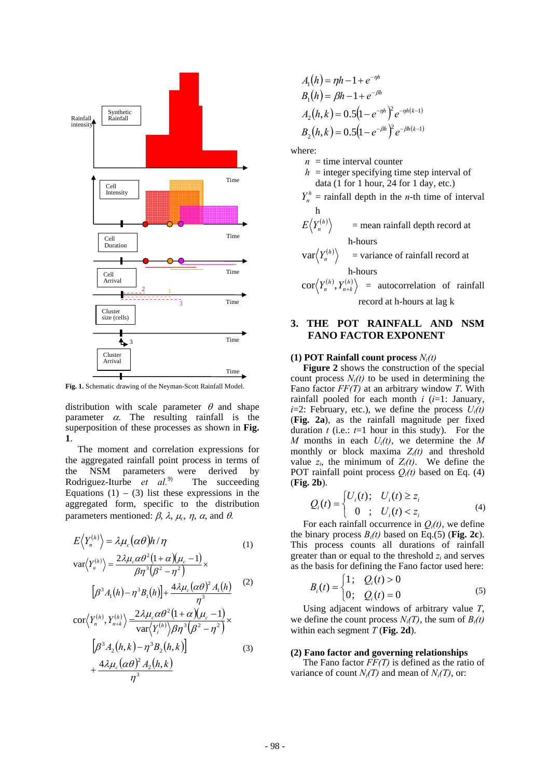

**Fig. 1.** Schematic drawing of the Neyman-Scott Rainfall Model.

distribution with scale parameter  $\theta$  and shape parameter  $\alpha$ . The resulting rainfall is the superposition of these processes as shown in **Fig. 1**.

 The moment and correlation expressions for the aggregated rainfall point process in terms of the NSM parameters were derived by Rodriguez-Iturbe *et al.*9) The succeeding Equations  $(1) - (3)$  list these expressions in the aggregated form, specific to the distribution parameters mentioned:  $β$ ,  $λ$ ,  $μ<sub>c</sub>$ ,  $η$ ,  $α$ , and  $θ$ .

$$
E\langle Y_n^{(h)}\rangle = \lambda \mu_c (\alpha \theta) h/\eta
$$
\n
$$
\text{var}\langle Y_n^{(h)}\rangle = \frac{2\lambda \mu_c \alpha \theta^2 (1 + \alpha)(\mu_c - 1)}{\beta \eta^3 (\beta^2 - \eta^2)} \times
$$
\n
$$
[\beta^3 A_1(h) - \eta^3 B_1(h)] + \frac{4\lambda \mu_c (\alpha \theta)^2 A_1(h)}{\eta^3}
$$
\n
$$
\text{cor}\langle Y_n^{(h)}, Y_{n+k}^{(h)}\rangle = \frac{2\lambda \mu_c \alpha \theta^2 (1 + \alpha)(\mu_c - 1)}{\text{var}\langle Y_i^{(h)}\rangle \beta \eta^3 (\beta^2 - \eta^2)} \times
$$
\n
$$
[\beta^3 A_2(h, k) - \eta^3 B_2(h, k)]
$$
\n
$$
(3)
$$
\n
$$
4\lambda \mu_c (\alpha \theta)^2 A_2(h, k)
$$

 $\eta^3$ 

*c*

+

$$
A_1(h) = \eta h - 1 + e^{-\eta h}
$$
  
\n
$$
B_1(h) = \beta h - 1 + e^{-\beta h}
$$
  
\n
$$
A_2(h, k) = 0.5(1 - e^{-\eta h})^2 e^{-\eta h(k-1)}
$$
  
\n
$$
B_2(h, k) = 0.5(1 - e^{-\beta h})^2 e^{-\beta h(k-1)}
$$

where:

- $n =$  time interval counter
- $h =$  integer specifying time step interval of data (1 for 1 hour, 24 for 1 day, etc.)
- $Y_n^h$  = rainfall depth in the *n*-th time of interval h

$$
E\left\langle Y_n^{(h)}\right\rangle = \text{mean rainfall depth record at}
$$
h-hours

$$
\text{var}\langle Y_n^{(h)} \rangle = \text{variance of rainfall record at}
$$
h-hours

$$
cor\langle Y_n^{(h)}, Y_{n+k}^{(h)} \rangle = autocorrelation of rainfallrecord at h-hours at lag k
$$

# **3. THE POT RAINFALL AND NSM FANO FACTOR EXPONENT**

## **(1) POT Rainfall count process** *Ni(t)*

**Figure 2** shows the construction of the special count process  $N_i(t)$  to be used in determining the Fano factor *FF(T)* at an arbitrary window *T*. With rainfall pooled for each month  $i$  ( $i=1$ : January, *i*=2: February, etc.), we define the process  $U_i(t)$ (**Fig. 2a**), as the rainfall magnitude per fixed duration  $t$  (i.e.:  $t=1$  hour in this study). For the *M* months in each *Ui(t)*, we determine the *M* monthly or block maxima  $Z_i(t)$  and threshold value  $z_i$ , the minimum of  $Z_i(t)$ . We define the POT rainfall point process  $O_i(t)$  based on Eq. (4) (**Fig. 2b**).

$$
Q_i(t) = \begin{cases} U_i(t); & U_i(t) \ge z_i \\ 0 & ; U_i(t) < z_i \end{cases} \tag{4}
$$

For each rainfall occurrence in  $O_i(t)$ , we define the binary process  $B_i(t)$  based on Eq.(5) (Fig. 2c). This process counts all durations of rainfall greater than or equal to the threshold *zi* and serves as the basis for defining the Fano factor used here:

$$
B_i(t) = \begin{cases} 1; & Q_i(t) > 0 \\ 0; & Q_i(t) = 0 \end{cases}
$$
 (5)

 Using adjacent windows of arbitrary value *T*, we define the count process  $N_i(T)$ , the sum of  $B_i(t)$ within each segment *T* (**Fig. 2d**).

## **(2) Fano factor and governing relationships**

 The Fano factor *FF(T)* is defined as the ratio of variance of count  $N_i(T)$  and mean of  $N_i(T)$ , or: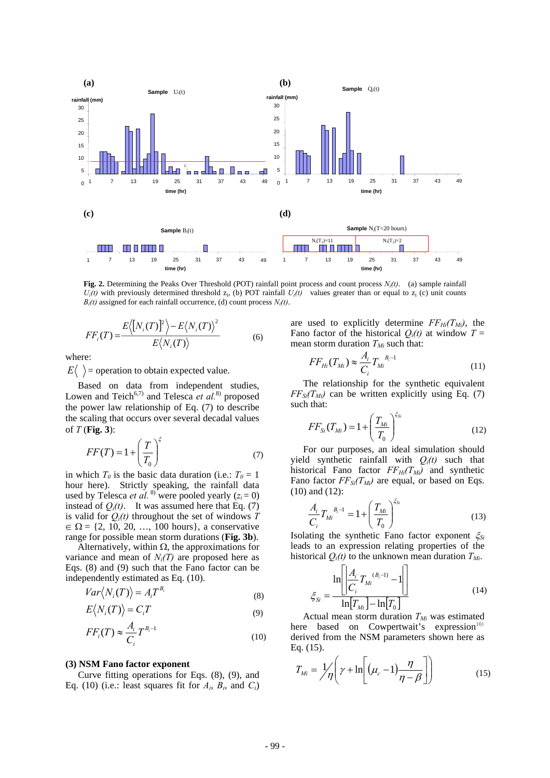

**Fig. 2.** Determining the Peaks Over Threshold (POT) rainfall point process and count process *Ni(t)*. (a) sample rainfall  $U_i(t)$  with previously determined threshold  $z_i$ , (b) POT rainfall  $U_i(t)$  values greater than or equal to  $z_i$  (c) unit counts  $B_i(t)$  assigned for each rainfall occurrence, (d) count process  $N_i(t)$ .

$$
FF_i(T) = \frac{E\langle [N_i(T)]^2 \rangle - E\langle N_i(T) \rangle^2}{E\langle N_i(T) \rangle}
$$
(6)

where:

 $E\langle \rangle$  = operation to obtain expected value.

 Based on data from independent studies, Lowen and Teich<sup>6,7)</sup> and Telesca et al.<sup>8)</sup> proposed the power law relationship of Eq. (7) to describe the scaling that occurs over several decadal values of *T* (**Fig. 3**):

$$
FF(T) = 1 + \left(\frac{T}{T_0}\right)^{\xi}
$$
\n(7)

in which  $T_0$  is the basic data duration (i.e.:  $T_0 = 1$ hour here). Strictly speaking, the rainfall data used by Telesca *et al.* <sup>8)</sup> were pooled yearly  $(z_i = 0)$ instead of  $Q_i(t)$ . It was assumed here that Eq. (7) is valid for  $Q_i(t)$  throughout the set of windows  $T$  $\in \Omega = \{2, 10, 20, ..., 100 \text{ hours}\},$  a conservative range for possible mean storm durations (**Fig. 3b**).

Alternatively, within  $\Omega$ , the approximations for variance and mean of  $N_i(T)$  are proposed here as Eqs. (8) and (9) such that the Fano factor can be independently estimated as Eq. (10).

$$
Var\langle N_i(T)\rangle = A_i T^{B_i} \tag{8}
$$

$$
E\langle N_i(T)\rangle = C_i T
$$
\n(9)

$$
FF_i(T) \approx \frac{A_i}{C_i} T^{B_i - 1}
$$
\n(10)

#### **(3) NSM Fano factor exponent**

Curve fitting operations for Eqs. (8), (9), and Eq. (10) (i.e.: least squares fit for  $A_i$ ,  $B_i$ , and  $C_i$ )

are used to explicitly determine  $FF_{Hi}(T_{Mi})$ , the Fano factor of the historical  $Q_i(t)$  at window  $T =$ mean storm duration  $T_{Mi}$  such that:

$$
FF_{Hi}(T_{Mi}) \approx \frac{A_i}{C_i} T_{Mi}^{B_i - 1}
$$
\n(11)

The relationship for the synthetic equivalent  $FF_{Si}(T_{Mi})$  can be written explicitly using Eq. (7) such that:

$$
FF_{Si}(T_{Mi}) = 1 + \left(\frac{T_{Mi}}{T_0}\right)^{\xi_{Si}}
$$
 (12)

For our purposes, an ideal simulation should yield synthetic rainfall with  $Q_i(t)$  such that historical Fano factor  $FF_{Hi}(T_{Mi})$  and synthetic Fano factor  $FF_{Si}(T_{Mi})$  are equal, or based on Eqs. (10) and (12):

$$
\frac{A_i}{C_i} T_{Mi}^{B_i - 1} = 1 + \left(\frac{T_{Mi}}{T_0}\right)^{\xi_{Si}}
$$
\n(13)

Isolating the synthetic Fano factor exponent ξ*Si* leads to an expression relating properties of the historical  $Q_i(t)$  to the unknown mean duration  $T_{Mi}$ .

$$
\xi_{Si} = \frac{\ln \left[ \left| \frac{A_i}{C_i} T_{Mi}^{(B_i - 1)} - 1 \right| \right]}{\ln [T_{Mi}] - \ln [T_0]}
$$
\n(14)

Actual mean storm duration  $T_{Mi}$  was estimated here based on Cowpertwait's expression $10$ derived from the NSM parameters shown here as Eq. (15).

$$
T_{Mi} = \frac{1}{\eta} \left( \gamma + \ln \left[ (\mu_c - 1) \frac{\eta}{\eta - \beta} \right] \right) \tag{15}
$$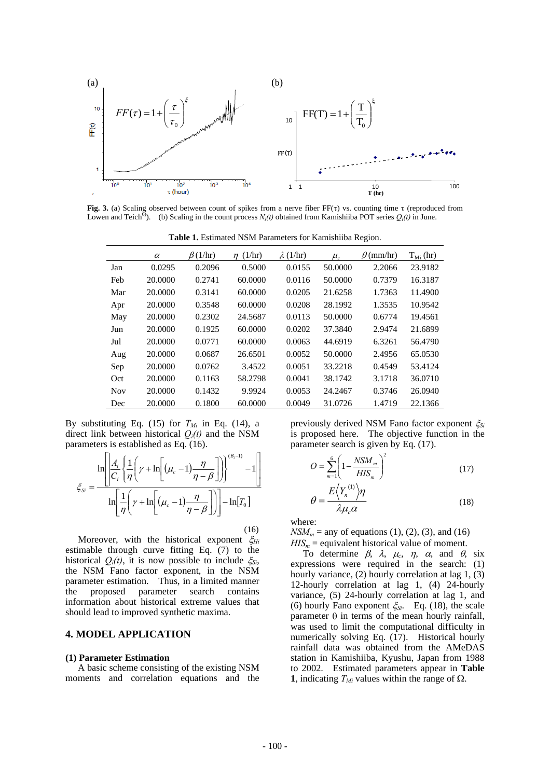

**Fig. 3.** (a) Scaling observed between count of spikes from a nerve fiber FF(τ) vs. counting time τ (reproduced from Lowen and Teich<sup>6)</sup>. (b) Scaling in the count process  $N_i(t)$  obtained from Kamishiiba POT series  $Q_i(t)$  in June.

**Table 1.** Estimated NSM Parameters for Kamishiiba Region.

|            | $\alpha$ | $\beta(1/\text{hr})$ | $\eta$ (1/hr) | $\lambda$ (1/hr) | $\mu_c$ | $\theta$ (mm/hr) | $T_{Mi}$ (hr) |
|------------|----------|----------------------|---------------|------------------|---------|------------------|---------------|
| Jan        | 0.0295   | 0.2096               | 0.5000        | 0.0155           | 50.0000 | 2.2066           | 23.9182       |
| Feb        | 20,0000  | 0.2741               | 60.0000       | 0.0116           | 50.0000 | 0.7379           | 16.3187       |
| Mar        | 20.0000  | 0.3141               | 60.0000       | 0.0205           | 21.6258 | 1.7363           | 11.4900       |
| Apr        | 20,0000  | 0.3548               | 60.0000       | 0.0208           | 28.1992 | 1.3535           | 10.9542       |
| May        | 20.0000  | 0.2302               | 24.5687       | 0.0113           | 50.0000 | 0.6774           | 19.4561       |
| Jun        | 20,0000  | 0.1925               | 60.0000       | 0.0202           | 37.3840 | 2.9474           | 21.6899       |
| Jul        | 20,0000  | 0.0771               | 60.0000       | 0.0063           | 44.6919 | 6.3261           | 56.4790       |
| Aug        | 20.0000  | 0.0687               | 26.6501       | 0.0052           | 50.0000 | 2.4956           | 65.0530       |
| Sep        | 20,0000  | 0.0762               | 3.4522        | 0.0051           | 33.2218 | 0.4549           | 53.4124       |
| Oct        | 20,0000  | 0.1163               | 58.2798       | 0.0041           | 38.1742 | 3.1718           | 36.0710       |
| <b>Nov</b> | 20,0000  | 0.1432               | 9.9924        | 0.0053           | 24.2467 | 0.3746           | 26.0940       |
| Dec        | 20,0000  | 0.1800               | 60.0000       | 0.0049           | 31.0726 | 1.4719           | 22.1366       |

By substituting Eq. (15) for  $T_{Mi}$  in Eq. (14), a direct link between historical *Qi(t)* and the NSM parameters is established as Eq. (16).

$$
\xi_{Si} = \frac{\ln \left[ \left| \frac{A_i}{C_i} \left\{ \frac{1}{\eta} \left( \gamma + \ln \left[ (\mu_c - 1) \frac{\eta}{\eta - \beta} \right] \right) \right\}^{\left( B_i - 1 \right)} - 1 \right|}{\ln \left[ \frac{1}{\eta} \left( \gamma + \ln \left[ (\mu_c - 1) \frac{\eta}{\eta - \beta} \right] \right) \right] - \ln[T_0]}
$$

(16)

Moreover, with the historical exponent ξ*Hi* estimable through curve fitting Eq. (7) to the historical  $Q_i(t)$ , it is now possible to include  $\xi_{Si}$ , the NSM Fano factor exponent, in the NSM parameter estimation. Thus, in a limited manner the proposed parameter search contains information about historical extreme values that should lead to improved synthetic maxima.

# **4. MODEL APPLICATION**

#### **(1) Parameter Estimation**

 A basic scheme consisting of the existing NSM moments and correlation equations and the

previously derived NSM Fano factor exponent ξ*Si* is proposed here. The objective function in the parameter search is given by Eq. (17).

$$
O = \sum_{m=1}^{6} \left( 1 - \frac{N S M_m}{H I S_m} \right)^2
$$
 (17)

$$
\theta = \frac{E\langle Y_n^{(1)} \rangle \eta}{\lambda \mu_c \alpha}
$$
\n(18)

where:

 $NSM_m =$  any of equations (1), (2), (3), and (16)  $HIS_m$  = equivalent historical value of moment.

To determine  $\beta$ ,  $\lambda$ ,  $\mu_c$ ,  $\eta$ ,  $\alpha$ , and  $\theta$ , six expressions were required in the search: (1) hourly variance, (2) hourly correlation at lag 1, (3) 12-hourly correlation at lag 1, (4) 24-hourly variance, (5) 24-hourly correlation at lag 1, and (6) hourly Fano exponent  $\zeta_{Si}$ . Eq. (18), the scale parameter θ in terms of the mean hourly rainfall, was used to limit the computational difficulty in numerically solving Eq. (17). Historical hourly rainfall data was obtained from the AMeDAS station in Kamishiiba, Kyushu, Japan from 1988 to 2002. Estimated parameters appear in **Table 1**, indicating  $T_{Mi}$  values within the range of  $\Omega$ .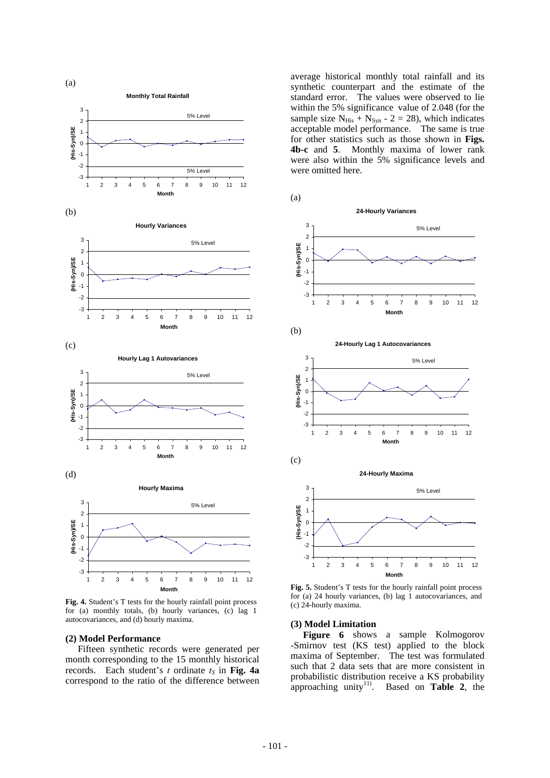

**Fig. 4.** Student's T tests for the hourly rainfall point process for (a) monthly totals, (b) hourly variances, (c) lag 1 autocovariances, and (d) hourly maxima.

#### **(2) Model Performance**

 Fifteen synthetic records were generated per month corresponding to the 15 monthly historical records. Each student's  $t$  ordinate  $t_S$  in Fig. 4a correspond to the ratio of the difference between average historical monthly total rainfall and its synthetic counterpart and the estimate of the standard error. The values were observed to lie within the 5% significance value of 2.048 (for the sample size  $N_{His} + N_{Syn} - 2 = 28$ , which indicates acceptable model performance. The same is true for other statistics such as those shown in **Figs. 4b-c** and **5**. Monthly maxima of lower rank were also within the 5% significance levels and were omitted here.





**Fig. 5.** Student's T tests for the hourly rainfall point process for (a) 24 hourly variances, (b) lag 1 autocovariances, and (c) 24-hourly maxima.

#### **(3) Model Limitation**

**Figure 6** shows a sample Kolmogorov -Smirnov test (KS test) applied to the block maxima of September. The test was formulated such that 2 data sets that are more consistent in probabilistic distribution receive a KS probability approaching unity<sup>11)</sup>. Based on **Table 2**, the